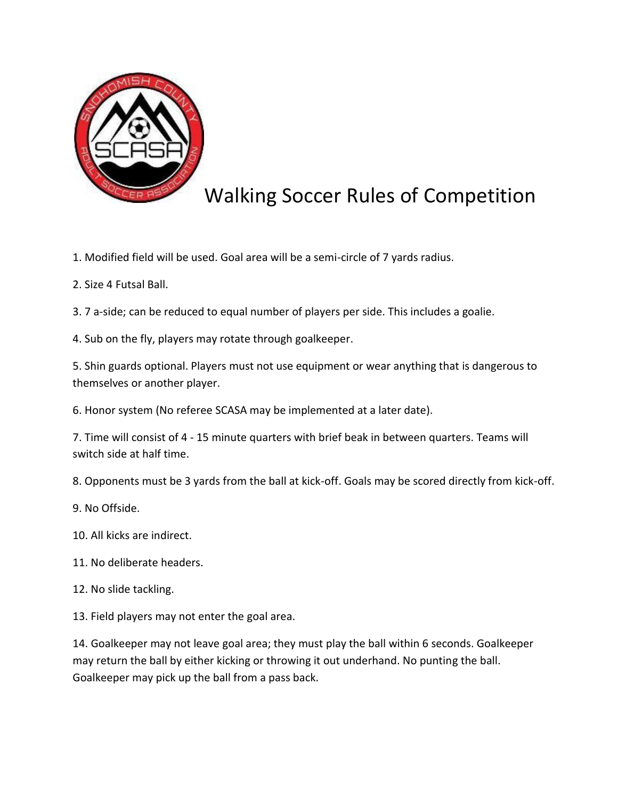

## Walking Soccer Rules of Competition

- 1. Modified field will be used. Goal area will be a semi-circle of 7 yards radius.
- 2. Size 4 Futsal Ball.
- 3. 7 a-side; can be reduced to equal number of players per side. This includes a goalie.
- 4. Sub on the fly, players may rotate through goalkeeper.

5. Shin guards optional. Players must not use equipment or wear anything that is dangerous to themselves or another player.

6. Honor system (No referee SCASA may be implemented at a later date).

7. Time will consist of 4 - 15 minute quarters with brief beak in between quarters. Teams will switch side at half time.

8. Opponents must be 3 yards from the ball at kick-off. Goals may be scored directly from kick-off.

- 9. No Offside.
- 10. All kicks are indirect.
- 11. No deliberate headers.
- 12. No slide tackling.

13. Field players may not enter the goal area.

14. Goalkeeper may not leave goal area; they must play the ball within 6 seconds. Goalkeeper may return the ball by either kicking or throwing it out underhand. No punting the ball. Goalkeeper may pick up the ball from a pass back.